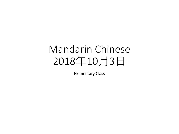## Mandarin Chinese 2018年10月3日

Elementary Class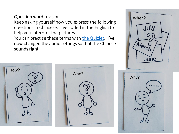## Question word revision

Keep asking yourself how you express the following questions in Chinsese. I've added in the English to help you interpret the pictures.

You can practise these terms with [the Quizlet.](https://quizlet.com/320319148/flashcards) I've now changed the audio settings so that the Chinese sounds right.



| How?         | Who? |
|--------------|------|
| ō            |      |
| $\mathbf{0}$ |      |
|              |      |
|              |      |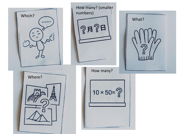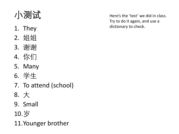小测试

- 1. They
- 2. 姐姐
- 3. 谢谢
- 4. 你们
- 5. Many
- 6. 学生
- 7. To attend (school)
- 8. 大
- 9. Small
- 10.岁
- 11.Younger brother

Here's the 'test' we did in class. Try to do it again, and use a dictionary to check.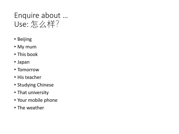## Enquire about … Use: 怎么样?

- Beijing
- My mum
- This book
- Japan
- Tomorrow
- His teacher
- Studying Chinese
- That university
- Your mobile phone
- The weather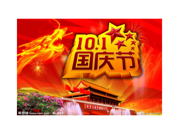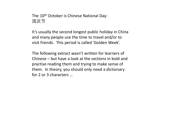The 10<sup>th</sup> October is Chinese National Day: 国庆节

It's usually the second longest public holiday in China and many people use the time to travel and/or to visit friends. This period is called 'Golden Week'.

The following extract wasn't written for learners of Chinese – but have a look at the sections in bold and practise reading them and trying to make sense of them. In theory, you should only need a dictionary for 2 or 3 characters …